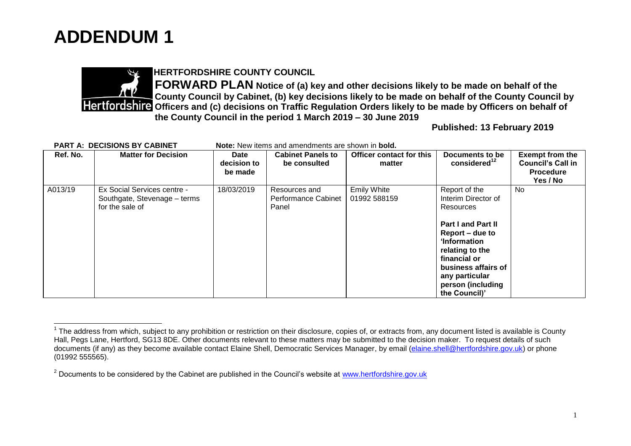



## **HERTFORDSHIRE COUNTY COUNCIL**

**FORWARD PLAN Notice of (a) key and other decisions likely to be made on behalf of the County Council by Cabinet, (b) key decisions likely to be made on behalf of the County Council by Partfordshire Officers and (c) decisions on Traffic Regulation Orders likely to be made by Officers on behalf of the County Council in the period 1 March 2019 – 30 June 2019**

**Published: 13 February 2019**

| <b>PART A: DECISIONS BY CABINET</b> |                                                                                | <b>Note:</b> New items and amendments are shown in <b>bold.</b> |                                                      |                                    |                                                                                                                                                                                                                                     |                                                                                    |
|-------------------------------------|--------------------------------------------------------------------------------|-----------------------------------------------------------------|------------------------------------------------------|------------------------------------|-------------------------------------------------------------------------------------------------------------------------------------------------------------------------------------------------------------------------------------|------------------------------------------------------------------------------------|
| Ref. No.                            | <b>Matter for Decision</b>                                                     | Date<br>decision to<br>be made                                  | <b>Cabinet Panels to</b><br>be consulted             | Officer contact for this<br>matter | Documents to be<br>considered $12$                                                                                                                                                                                                  | <b>Exempt from the</b><br><b>Council's Call in</b><br><b>Procedure</b><br>Yes / No |
| A013/19                             | Ex Social Services centre -<br>Southgate, Stevenage - terms<br>for the sale of | 18/03/2019                                                      | Resources and<br><b>Performance Cabinet</b><br>Panel | <b>Emily White</b><br>01992 588159 | Report of the<br>Interim Director of<br>Resources<br><b>Part I and Part II</b><br>Report – due to<br>'Information<br>relating to the<br>financial or<br>business affairs of<br>any particular<br>person (including<br>the Council)' | No.                                                                                |

 $\overline{\phantom{a}}$  $1$  The address from which, subject to any prohibition or restriction on their disclosure, copies of, or extracts from, any document listed is available is County Hall, Pegs Lane, Hertford, SG13 8DE. Other documents relevant to these matters may be submitted to the decision maker. To request details of such documents (if any) as they become available contact Elaine Shell, Democratic Services Manager, by email [\(elaine.shell@hertfordshire.gov.uk\)](mailto:elaine.shell@hertfordshire.gov.uk) or phone (01992 555565).

 $2$  Documents to be considered by the Cabinet are published in the Council's website at [www.hertfordshire.gov.uk](http://www.hertfordshire.gov.uk/)